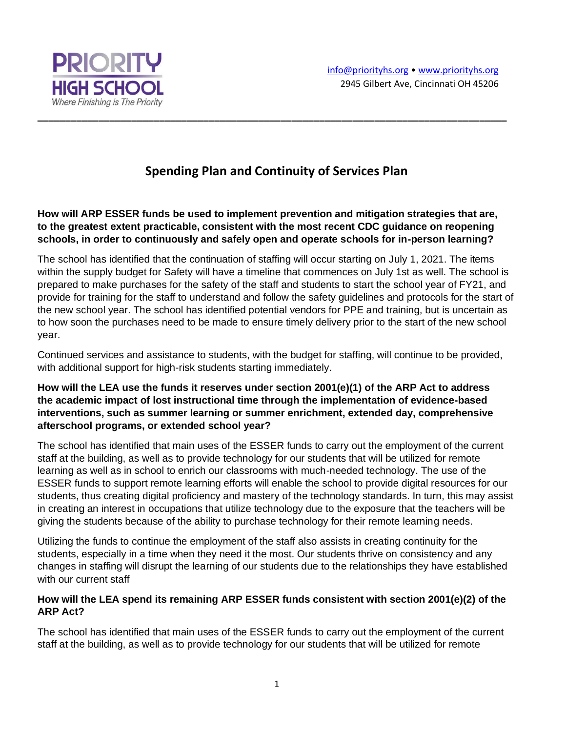



# **Spending Plan and Continuity of Services Plan**

**\_\_\_\_\_\_\_\_\_\_\_\_\_\_\_\_\_\_\_\_\_\_\_\_\_\_\_\_\_\_\_\_\_\_\_\_\_\_\_\_\_\_\_\_\_\_\_\_\_\_\_\_\_\_\_\_\_\_\_\_\_\_\_\_\_\_\_\_\_\_\_\_\_\_\_\_\_\_\_\_\_\_\_\_\_**

**How will ARP ESSER funds be used to implement prevention and mitigation strategies that are, to the greatest extent practicable, consistent with the most recent CDC guidance on reopening schools, in order to continuously and safely open and operate schools for in-person learning?**

The school has identified that the continuation of staffing will occur starting on July 1, 2021. The items within the supply budget for Safety will have a timeline that commences on July 1st as well. The school is prepared to make purchases for the safety of the staff and students to start the school year of FY21, and provide for training for the staff to understand and follow the safety guidelines and protocols for the start of the new school year. The school has identified potential vendors for PPE and training, but is uncertain as to how soon the purchases need to be made to ensure timely delivery prior to the start of the new school year.

Continued services and assistance to students, with the budget for staffing, will continue to be provided, with additional support for high-risk students starting immediately.

### **How will the LEA use the funds it reserves under section 2001(e)(1) of the ARP Act to address the academic impact of lost instructional time through the implementation of evidence-based interventions, such as summer learning or summer enrichment, extended day, comprehensive afterschool programs, or extended school year?**

The school has identified that main uses of the ESSER funds to carry out the employment of the current staff at the building, as well as to provide technology for our students that will be utilized for remote learning as well as in school to enrich our classrooms with much-needed technology. The use of the ESSER funds to support remote learning efforts will enable the school to provide digital resources for our students, thus creating digital proficiency and mastery of the technology standards. In turn, this may assist in creating an interest in occupations that utilize technology due to the exposure that the teachers will be giving the students because of the ability to purchase technology for their remote learning needs.

Utilizing the funds to continue the employment of the staff also assists in creating continuity for the students, especially in a time when they need it the most. Our students thrive on consistency and any changes in staffing will disrupt the learning of our students due to the relationships they have established with our current staff

#### **How will the LEA spend its remaining ARP ESSER funds consistent with section 2001(e)(2) of the ARP Act?**

The school has identified that main uses of the ESSER funds to carry out the employment of the current staff at the building, as well as to provide technology for our students that will be utilized for remote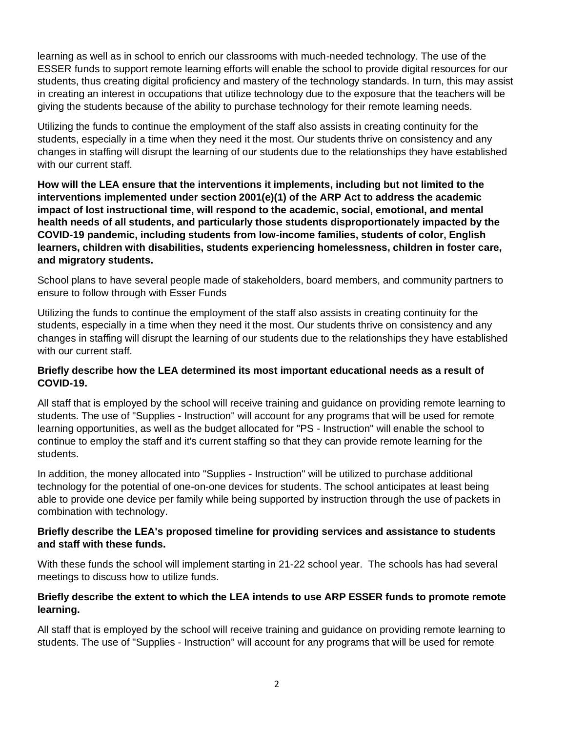learning as well as in school to enrich our classrooms with much-needed technology. The use of the ESSER funds to support remote learning efforts will enable the school to provide digital resources for our students, thus creating digital proficiency and mastery of the technology standards. In turn, this may assist in creating an interest in occupations that utilize technology due to the exposure that the teachers will be giving the students because of the ability to purchase technology for their remote learning needs.

Utilizing the funds to continue the employment of the staff also assists in creating continuity for the students, especially in a time when they need it the most. Our students thrive on consistency and any changes in staffing will disrupt the learning of our students due to the relationships they have established with our current staff.

**How will the LEA ensure that the interventions it implements, including but not limited to the interventions implemented under section 2001(e)(1) of the ARP Act to address the academic impact of lost instructional time, will respond to the academic, social, emotional, and mental health needs of all students, and particularly those students disproportionately impacted by the COVID-19 pandemic, including students from low-income families, students of color, English learners, children with disabilities, students experiencing homelessness, children in foster care, and migratory students.**

School plans to have several people made of stakeholders, board members, and community partners to ensure to follow through with Esser Funds

Utilizing the funds to continue the employment of the staff also assists in creating continuity for the students, especially in a time when they need it the most. Our students thrive on consistency and any changes in staffing will disrupt the learning of our students due to the relationships they have established with our current staff.

#### **Briefly describe how the LEA determined its most important educational needs as a result of COVID-19.**

All staff that is employed by the school will receive training and guidance on providing remote learning to students. The use of "Supplies - Instruction" will account for any programs that will be used for remote learning opportunities, as well as the budget allocated for "PS - Instruction" will enable the school to continue to employ the staff and it's current staffing so that they can provide remote learning for the students.

In addition, the money allocated into "Supplies - Instruction" will be utilized to purchase additional technology for the potential of one-on-one devices for students. The school anticipates at least being able to provide one device per family while being supported by instruction through the use of packets in combination with technology.

#### **Briefly describe the LEA's proposed timeline for providing services and assistance to students and staff with these funds.**

With these funds the school will implement starting in 21-22 school year. The schools has had several meetings to discuss how to utilize funds.

## **Briefly describe the extent to which the LEA intends to use ARP ESSER funds to promote remote learning.**

All staff that is employed by the school will receive training and guidance on providing remote learning to students. The use of "Supplies - Instruction" will account for any programs that will be used for remote